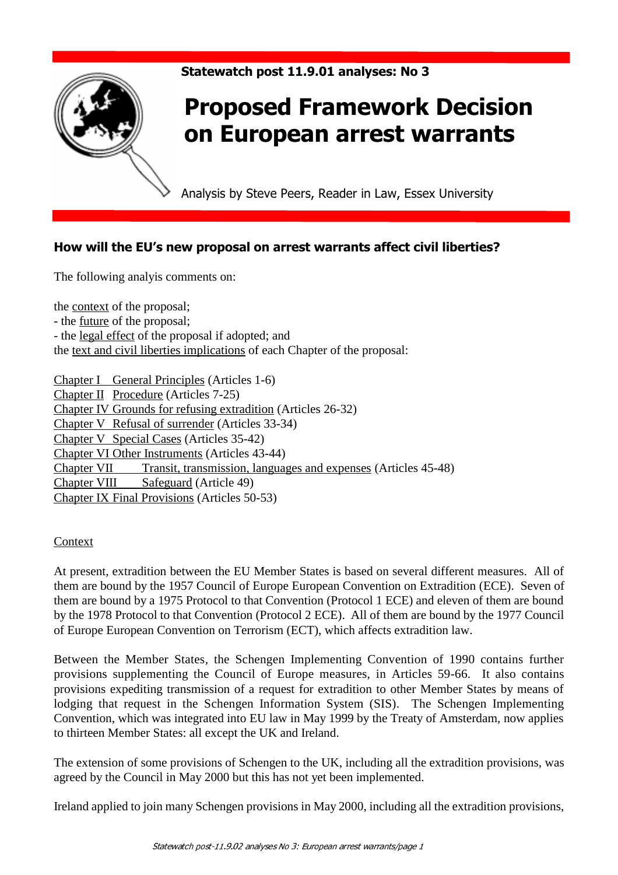

# Statewatch post 11.9.01 analyses: No 3

# Proposed Framework Decision on European arrest warrants

Analysis by Steve Peers, Reader in Law, Essex University

# How will the EU's new proposal on arrest warrants affect civil liberties?

The following analyis comments on:

the context of the proposal; - the future of the proposal; - the legal effect of the proposal if adopted; and the text and civil liberties implications of each Chapter of the proposal:

Chapter I General Principles (Articles 1-6) Chapter II Procedure (Articles 7-25) Chapter IV Grounds for refusing extradition (Articles 26-32) Chapter V Refusal of surrender (Articles 33-34) Chapter V Special Cases (Articles 35-42) Chapter VI Other Instruments (Articles 43-44) Chapter VII Transit, transmission, languages and expenses (Articles 45-48) Chapter VIII Safeguard (Article 49) Chapter IX Final Provisions (Articles 50-53)

## Context

At present, extradition between the EU Member States is based on several different measures. All of them are bound by the 1957 Council of Europe European Convention on Extradition (ECE). Seven of them are bound by a 1975 Protocol to that Convention (Protocol 1 ECE) and eleven of them are bound by the 1978 Protocol to that Convention (Protocol 2 ECE). All of them are bound by the 1977 Council of Europe European Convention on Terrorism (ECT), which affects extradition law.

Between the Member States, the Schengen Implementing Convention of 1990 contains further provisions supplementing the Council of Europe measures, in Articles 59-66. It also contains provisions expediting transmission of a request for extradition to other Member States by means of lodging that request in the Schengen Information System (SIS). The Schengen Implementing Convention, which was integrated into EU law in May 1999 by the Treaty of Amsterdam, now applies to thirteen Member States: all except the UK and Ireland.

The extension of some provisions of Schengen to the UK, including all the extradition provisions, was agreed by the Council in May 2000 but this has not yet been implemented.

Ireland applied to join many Schengen provisions in May 2000, including all the extradition provisions,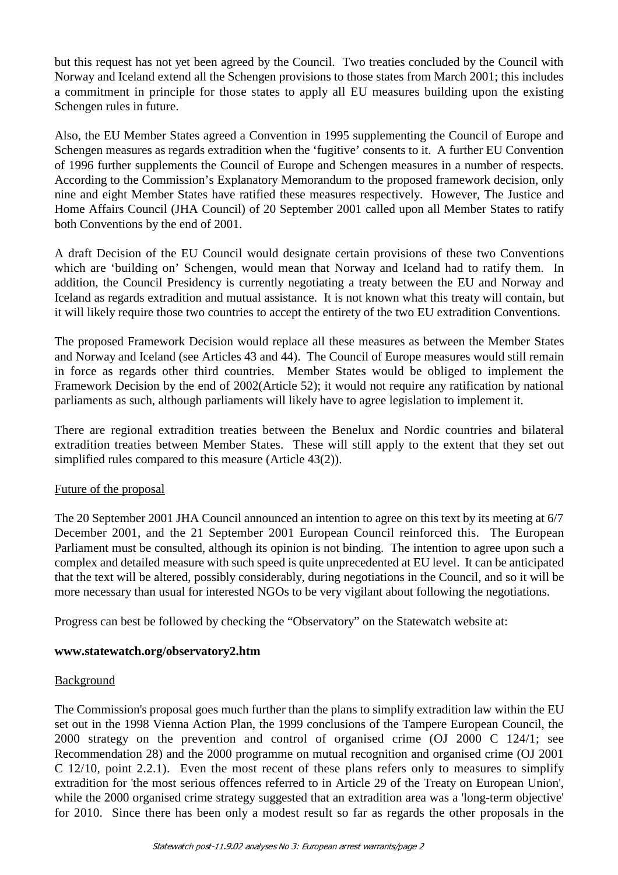but this request has not yet been agreed by the Council. Two treaties concluded by the Council with Norway and Iceland extend all the Schengen provisions to those states from March 2001; this includes a commitment in principle for those states to apply all EU measures building upon the existing Schengen rules in future.

Also, the EU Member States agreed a Convention in 1995 supplementing the Council of Europe and Schengen measures as regards extradition when the 'fugitive' consents to it. A further EU Convention of 1996 further supplements the Council of Europe and Schengen measures in a number of respects. According to the Commission's Explanatory Memorandum to the proposed framework decision, only nine and eight Member States have ratified these measures respectively. However, The Justice and Home Affairs Council (JHA Council) of 20 September 2001 called upon all Member States to ratify both Conventions by the end of 2001.

A draft Decision of the EU Council would designate certain provisions of these two Conventions which are 'building on' Schengen, would mean that Norway and Iceland had to ratify them. In addition, the Council Presidency is currently negotiating a treaty between the EU and Norway and Iceland as regards extradition and mutual assistance. It is not known what this treaty will contain, but it will likely require those two countries to accept the entirety of the two EU extradition Conventions.

The proposed Framework Decision would replace all these measures as between the Member States and Norway and Iceland (see Articles 43 and 44). The Council of Europe measures would still remain in force as regards other third countries. Member States would be obliged to implement the Framework Decision by the end of 2002(Article 52); it would not require any ratification by national parliaments as such, although parliaments will likely have to agree legislation to implement it.

There are regional extradition treaties between the Benelux and Nordic countries and bilateral extradition treaties between Member States. These will still apply to the extent that they set out simplified rules compared to this measure (Article 43(2)).

## Future of the proposal

The 20 September 2001 JHA Council announced an intention to agree on this text by its meeting at 6/7 December 2001, and the 21 September 2001 European Council reinforced this. The European Parliament must be consulted, although its opinion is not binding. The intention to agree upon such a complex and detailed measure with such speed is quite unprecedented at EU level. It can be anticipated that the text will be altered, possibly considerably, during negotiations in the Council, and so it will be more necessary than usual for interested NGOs to be very vigilant about following the negotiations.

Progress can best be followed by checking the "Observatory" on the Statewatch website at:

#### **www.statewatch.org/observatory2.htm**

#### Background

The Commission's proposal goes much further than the plans to simplify extradition law within the EU set out in the 1998 Vienna Action Plan, the 1999 conclusions of the Tampere European Council, the 2000 strategy on the prevention and control of organised crime (OJ 2000 C 124/1; see Recommendation 28) and the 2000 programme on mutual recognition and organised crime (OJ 2001 C 12/10, point 2.2.1). Even the most recent of these plans refers only to measures to simplify extradition for 'the most serious offences referred to in Article 29 of the Treaty on European Union', while the 2000 organised crime strategy suggested that an extradition area was a 'long-term objective' for 2010. Since there has been only a modest result so far as regards the other proposals in the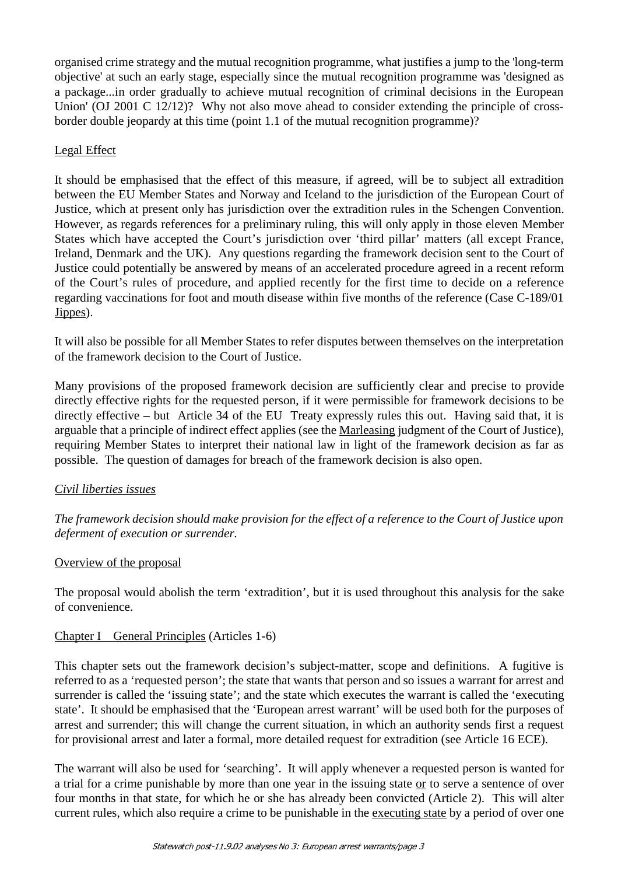organised crime strategy and the mutual recognition programme, what justifies a jump to the 'long-term objective' at such an early stage, especially since the mutual recognition programme was 'designed as a package...in order gradually to achieve mutual recognition of criminal decisions in the European Union' (OJ 2001 C 12/12)? Why not also move ahead to consider extending the principle of crossborder double jeopardy at this time (point 1.1 of the mutual recognition programme)?

#### Legal Effect

It should be emphasised that the effect of this measure, if agreed, will be to subject all extradition between the EU Member States and Norway and Iceland to the jurisdiction of the European Court of Justice, which at present only has jurisdiction over the extradition rules in the Schengen Convention. However, as regards references for a preliminary ruling, this will only apply in those eleven Member States which have accepted the Court's jurisdiction over 'third pillar' matters (all except France, Ireland, Denmark and the UK). Any questions regarding the framework decision sent to the Court of Justice could potentially be answered by means of an accelerated procedure agreed in a recent reform of the Court's rules of procedure, and applied recently for the first time to decide on a reference regarding vaccinations for foot and mouth disease within five months of the reference (Case C-189/01 Jippes).

It will also be possible for all Member States to refer disputes between themselves on the interpretation of the framework decision to the Court of Justice.

Many provisions of the proposed framework decision are sufficiently clear and precise to provide directly effective rights for the requested person, if it were permissible for framework decisions to be directly effective **–** but Article 34 of the EU Treaty expressly rules this out. Having said that, it is arguable that a principle of indirect effect applies (see the Marleasing judgment of the Court of Justice), requiring Member States to interpret their national law in light of the framework decision as far as possible. The question of damages for breach of the framework decision is also open.

## *Civil liberties issues*

*The framework decision should make provision for the effect of a reference to the Court of Justice upon deferment of execution or surrender.*

## Overview of the proposal

The proposal would abolish the term 'extradition', but it is used throughout this analysis for the sake of convenience.

## Chapter I General Principles (Articles 1-6)

This chapter sets out the framework decision's subject-matter, scope and definitions. A fugitive is referred to as a 'requested person'; the state that wants that person and so issues a warrant for arrest and surrender is called the 'issuing state'; and the state which executes the warrant is called the 'executing state'. It should be emphasised that the 'European arrest warrant' will be used both for the purposes of arrest and surrender; this will change the current situation, in which an authority sends first a request for provisional arrest and later a formal, more detailed request for extradition (see Article 16 ECE).

The warrant will also be used for 'searching'. It will apply whenever a requested person is wanted for a trial for a crime punishable by more than one year in the issuing state or to serve a sentence of over four months in that state, for which he or she has already been convicted (Article 2). This will alter current rules, which also require a crime to be punishable in the executing state by a period of over one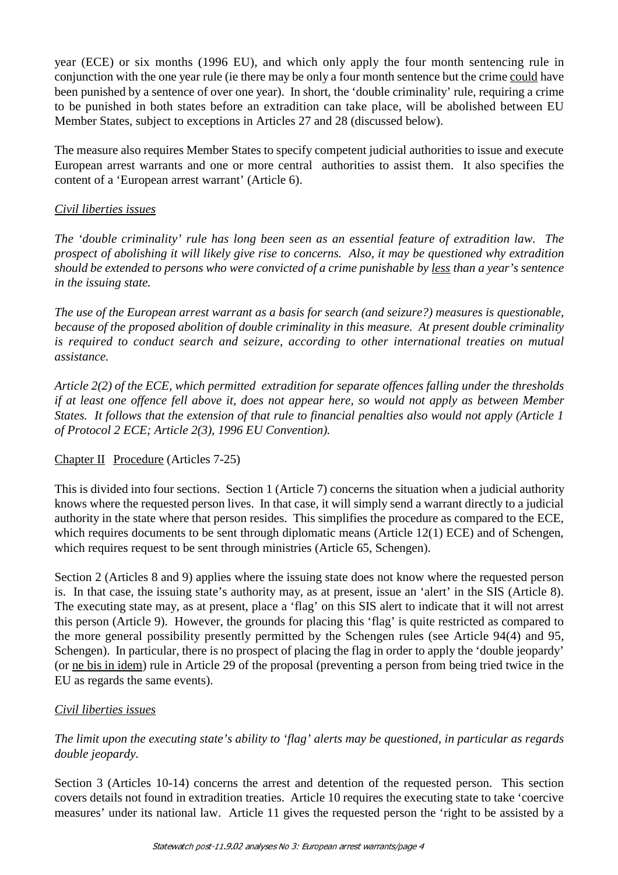year (ECE) or six months (1996 EU), and which only apply the four month sentencing rule in conjunction with the one year rule (ie there may be only a four month sentence but the crime could have been punished by a sentence of over one year). In short, the 'double criminality' rule, requiring a crime to be punished in both states before an extradition can take place, will be abolished between EU Member States, subject to exceptions in Articles 27 and 28 (discussed below).

The measure also requires Member States to specify competent judicial authorities to issue and execute European arrest warrants and one or more central authorities to assist them. It also specifies the content of a 'European arrest warrant' (Article 6).

#### *Civil liberties issues*

*The 'double criminality' rule has long been seen as an essential feature of extradition law. The prospect of abolishing it will likely give rise to concerns. Also, it may be questioned why extradition should be extended to persons who were convicted of a crime punishable by less than a year's sentence in the issuing state.*

*The use of the European arrest warrant as a basis for search (and seizure?) measures is questionable, because of the proposed abolition of double criminality in this measure. At present double criminality is required to conduct search and seizure, according to other international treaties on mutual assistance.*

*Article 2(2) of the ECE, which permitted extradition for separate offences falling under the thresholds if at least one offence fell above it, does not appear here, so would not apply as between Member States. It follows that the extension of that rule to financial penalties also would not apply (Article 1 of Protocol 2 ECE; Article 2(3), 1996 EU Convention).*

## Chapter II Procedure (Articles 7-25)

This is divided into four sections. Section 1 (Article 7) concerns the situation when a judicial authority knows where the requested person lives. In that case, it will simply send a warrant directly to a judicial authority in the state where that person resides. This simplifies the procedure as compared to the ECE, which requires documents to be sent through diplomatic means (Article 12(1) ECE) and of Schengen, which requires request to be sent through ministries (Article 65, Schengen).

Section 2 (Articles 8 and 9) applies where the issuing state does not know where the requested person is. In that case, the issuing state's authority may, as at present, issue an 'alert' in the SIS (Article 8). The executing state may, as at present, place a 'flag' on this SIS alert to indicate that it will not arrest this person (Article 9). However, the grounds for placing this 'flag' is quite restricted as compared to the more general possibility presently permitted by the Schengen rules (see Article 94(4) and 95, Schengen). In particular, there is no prospect of placing the flag in order to apply the 'double jeopardy' (or ne bis in idem) rule in Article 29 of the proposal (preventing a person from being tried twice in the EU as regards the same events).

## *Civil liberties issues*

*The limit upon the executing state's ability to 'flag' alerts may be questioned, in particular as regards double jeopardy.*

Section 3 (Articles 10-14) concerns the arrest and detention of the requested person. This section covers details not found in extradition treaties. Article 10 requires the executing state to take 'coercive measures' under its national law. Article 11 gives the requested person the 'right to be assisted by a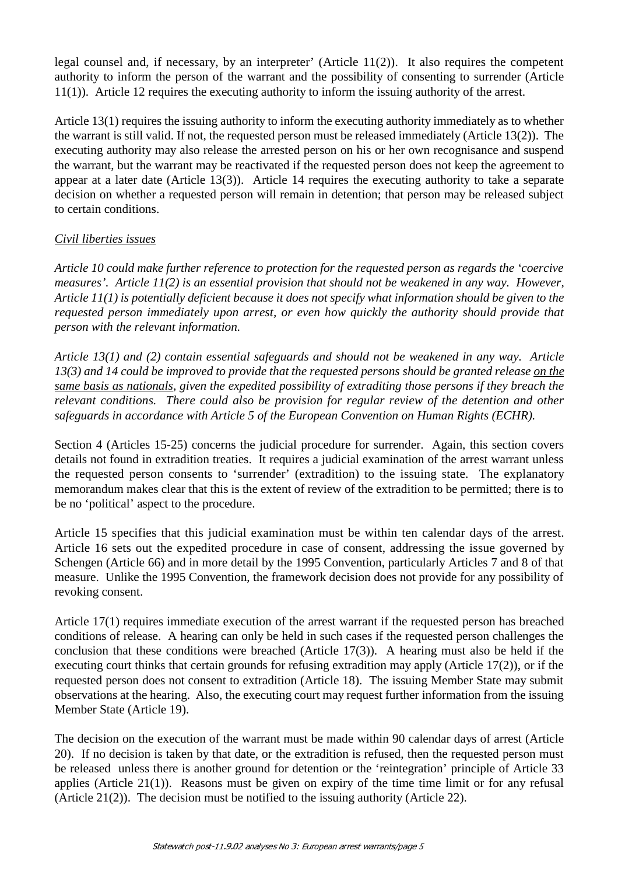legal counsel and, if necessary, by an interpreter' (Article 11(2)). It also requires the competent authority to inform the person of the warrant and the possibility of consenting to surrender (Article 11(1)). Article 12 requires the executing authority to inform the issuing authority of the arrest.

Article 13(1) requires the issuing authority to inform the executing authority immediately as to whether the warrant is still valid. If not, the requested person must be released immediately (Article 13(2)). The executing authority may also release the arrested person on his or her own recognisance and suspend the warrant, but the warrant may be reactivated if the requested person does not keep the agreement to appear at a later date (Article 13(3)). Article 14 requires the executing authority to take a separate decision on whether a requested person will remain in detention; that person may be released subject to certain conditions.

#### *Civil liberties issues*

*Article 10 could make further reference to protection for the requested person as regards the 'coercive measures'. Article 11(2) is an essential provision that should not be weakened in any way. However, Article 11(1) is potentially deficient because it does not specify what information should be given to the requested person immediately upon arrest, or even how quickly the authority should provide that person with the relevant information.*

*Article 13(1) and (2) contain essential safeguards and should not be weakened in any way. Article 13(3) and 14 could be improved to provide that the requested persons should be granted release on the same basis as nationals, given the expedited possibility of extraditing those persons if they breach the relevant conditions. There could also be provision for regular review of the detention and other safeguards in accordance with Article 5 of the European Convention on Human Rights (ECHR).*

Section 4 (Articles 15-25) concerns the judicial procedure for surrender. Again, this section covers details not found in extradition treaties. It requires a judicial examination of the arrest warrant unless the requested person consents to 'surrender' (extradition) to the issuing state. The explanatory memorandum makes clear that this is the extent of review of the extradition to be permitted; there is to be no 'political' aspect to the procedure.

Article 15 specifies that this judicial examination must be within ten calendar days of the arrest. Article 16 sets out the expedited procedure in case of consent, addressing the issue governed by Schengen (Article 66) and in more detail by the 1995 Convention, particularly Articles 7 and 8 of that measure. Unlike the 1995 Convention, the framework decision does not provide for any possibility of revoking consent.

Article 17(1) requires immediate execution of the arrest warrant if the requested person has breached conditions of release. A hearing can only be held in such cases if the requested person challenges the conclusion that these conditions were breached (Article 17(3)). A hearing must also be held if the executing court thinks that certain grounds for refusing extradition may apply (Article 17(2)), or if the requested person does not consent to extradition (Article 18). The issuing Member State may submit observations at the hearing. Also, the executing court may request further information from the issuing Member State (Article 19).

The decision on the execution of the warrant must be made within 90 calendar days of arrest (Article 20). If no decision is taken by that date, or the extradition is refused, then the requested person must be released unless there is another ground for detention or the 'reintegration' principle of Article 33 applies (Article 21(1)). Reasons must be given on expiry of the time time limit or for any refusal (Article 21(2)). The decision must be notified to the issuing authority (Article 22).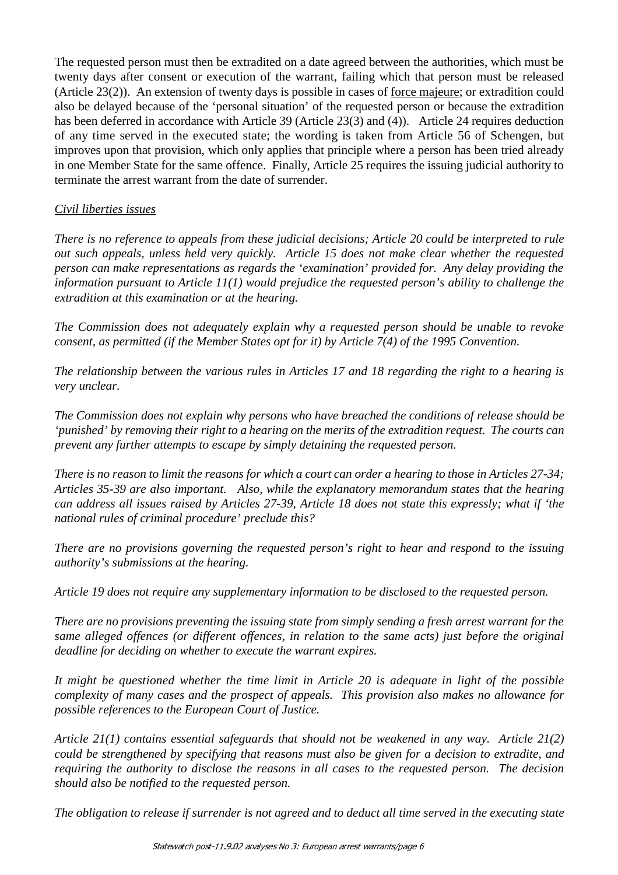The requested person must then be extradited on a date agreed between the authorities, which must be twenty days after consent or execution of the warrant, failing which that person must be released (Article 23(2)). An extension of twenty days is possible in cases of force majeure; or extradition could also be delayed because of the 'personal situation' of the requested person or because the extradition has been deferred in accordance with Article 39 (Article 23(3) and (4)). Article 24 requires deduction of any time served in the executed state; the wording is taken from Article 56 of Schengen, but improves upon that provision, which only applies that principle where a person has been tried already in one Member State for the same offence. Finally, Article 25 requires the issuing judicial authority to terminate the arrest warrant from the date of surrender.

#### *Civil liberties issues*

*There is no reference to appeals from these judicial decisions; Article 20 could be interpreted to rule out such appeals, unless held very quickly. Article 15 does not make clear whether the requested person can make representations as regards the 'examination' provided for. Any delay providing the information pursuant to Article 11(1) would prejudice the requested person's ability to challenge the extradition at this examination or at the hearing.*

*The Commission does not adequately explain why a requested person should be unable to revoke consent, as permitted (if the Member States opt for it) by Article 7(4) of the 1995 Convention.*

*The relationship between the various rules in Articles 17 and 18 regarding the right to a hearing is very unclear.*

*The Commission does not explain why persons who have breached the conditions of release should be 'punished' by removing their right to a hearing on the merits of the extradition request. The courts can prevent any further attempts to escape by simply detaining the requested person.*

*There is no reason to limit the reasons for which a court can order a hearing to those in Articles 27-34; Articles 35-39 are also important. Also, while the explanatory memorandum states that the hearing can address all issues raised by Articles 27-39, Article 18 does not state this expressly; what if 'the national rules of criminal procedure' preclude this?*

*There are no provisions governing the requested person's right to hear and respond to the issuing authority's submissions at the hearing.*

*Article 19 does not require any supplementary information to be disclosed to the requested person.*

*There are no provisions preventing the issuing state from simply sending a fresh arrest warrant for the same alleged offences (or different offences, in relation to the same acts) just before the original deadline for deciding on whether to execute the warrant expires.*

*It might be questioned whether the time limit in Article 20 is adequate in light of the possible complexity of many cases and the prospect of appeals. This provision also makes no allowance for possible references to the European Court of Justice.*

*Article 21(1) contains essential safeguards that should not be weakened in any way. Article 21(2) could be strengthened by specifying that reasons must also be given for a decision to extradite, and requiring the authority to disclose the reasons in all cases to the requested person. The decision should also be notified to the requested person.*

*The obligation to release if surrender is not agreed and to deduct all time served in the executing state*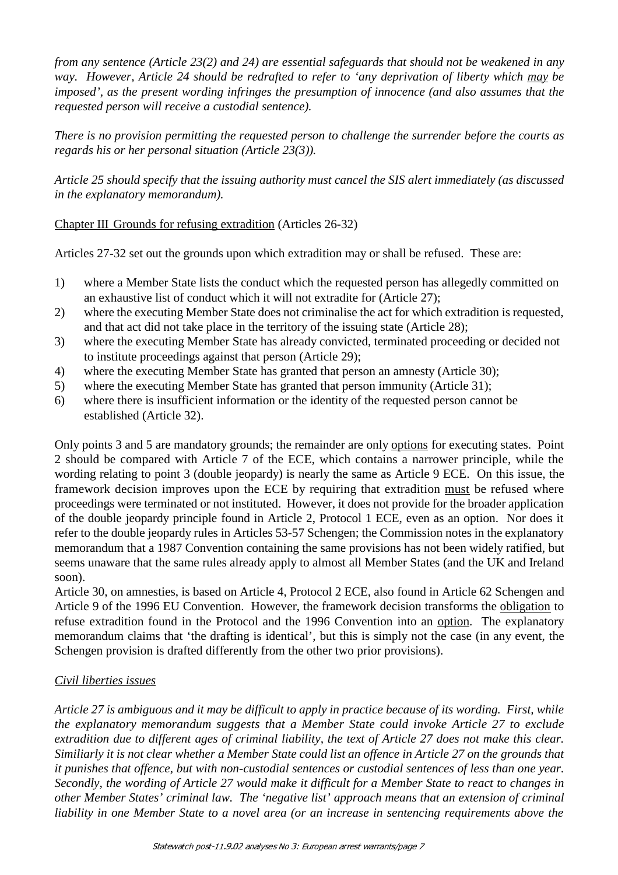*from any sentence (Article 23(2) and 24) are essential safeguards that should not be weakened in any way. However, Article 24 should be redrafted to refer to 'any deprivation of liberty which may be imposed', as the present wording infringes the presumption of innocence (and also assumes that the requested person will receive a custodial sentence).*

*There is no provision permitting the requested person to challenge the surrender before the courts as regards his or her personal situation (Article 23(3)).*

*Article 25 should specify that the issuing authority must cancel the SIS alert immediately (as discussed in the explanatory memorandum).*

## Chapter III Grounds for refusing extradition (Articles 26-32)

Articles 27-32 set out the grounds upon which extradition may or shall be refused. These are:

- 1) where a Member State lists the conduct which the requested person has allegedly committed on an exhaustive list of conduct which it will not extradite for (Article 27);
- 2) where the executing Member State does not criminalise the act for which extradition is requested, and that act did not take place in the territory of the issuing state (Article 28);
- 3) where the executing Member State has already convicted, terminated proceeding or decided not to institute proceedings against that person (Article 29);
- 4) where the executing Member State has granted that person an amnesty (Article 30);
- 5) where the executing Member State has granted that person immunity (Article 31);
- 6) where there is insufficient information or the identity of the requested person cannot be established (Article 32).

Only points 3 and 5 are mandatory grounds; the remainder are only options for executing states. Point 2 should be compared with Article 7 of the ECE, which contains a narrower principle, while the wording relating to point 3 (double jeopardy) is nearly the same as Article 9 ECE. On this issue, the framework decision improves upon the ECE by requiring that extradition must be refused where proceedings were terminated or not instituted. However, it does not provide for the broader application of the double jeopardy principle found in Article 2, Protocol 1 ECE, even as an option. Nor does it refer to the double jeopardy rules in Articles 53-57 Schengen; the Commission notes in the explanatory memorandum that a 1987 Convention containing the same provisions has not been widely ratified, but seems unaware that the same rules already apply to almost all Member States (and the UK and Ireland soon).

Article 30, on amnesties, is based on Article 4, Protocol 2 ECE, also found in Article 62 Schengen and Article 9 of the 1996 EU Convention. However, the framework decision transforms the obligation to refuse extradition found in the Protocol and the 1996 Convention into an option. The explanatory memorandum claims that 'the drafting is identical', but this is simply not the case (in any event, the Schengen provision is drafted differently from the other two prior provisions).

## *Civil liberties issues*

*Article 27 is ambiguous and it may be difficult to apply in practice because of its wording. First, while the explanatory memorandum suggests that a Member State could invoke Article 27 to exclude extradition due to different ages of criminal liability, the text of Article 27 does not make this clear. Similiarly it is not clear whether a Member State could list an offence in Article 27 on the grounds that it punishes that offence, but with non-custodial sentences or custodial sentences of less than one year. Secondly, the wording of Article 27 would make it difficult for a Member State to react to changes in other Member States' criminal law. The 'negative list' approach means that an extension of criminal liability in one Member State to a novel area (or an increase in sentencing requirements above the*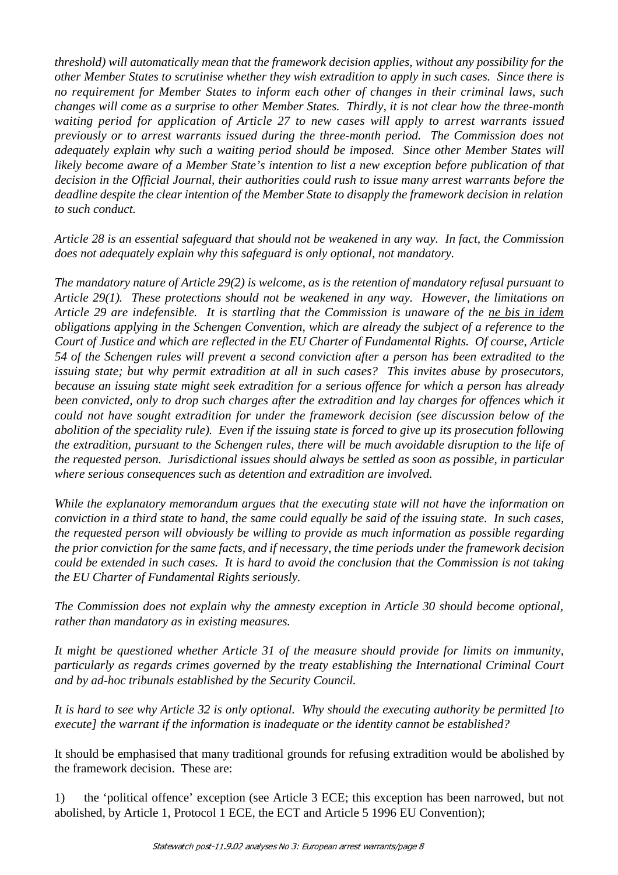*threshold) will automatically mean that the framework decision applies, without any possibility for the other Member States to scrutinise whether they wish extradition to apply in such cases. Since there is no requirement for Member States to inform each other of changes in their criminal laws, such changes will come as a surprise to other Member States. Thirdly, it is not clear how the three-month waiting period for application of Article 27 to new cases will apply to arrest warrants issued previously or to arrest warrants issued during the three-month period. The Commission does not adequately explain why such a waiting period should be imposed. Since other Member States will likely become aware of a Member State's intention to list a new exception before publication of that decision in the Official Journal, their authorities could rush to issue many arrest warrants before the deadline despite the clear intention of the Member State to disapply the framework decision in relation to such conduct.*

*Article 28 is an essential safeguard that should not be weakened in any way. In fact, the Commission does not adequately explain why this safeguard is only optional, not mandatory.*

*The mandatory nature of Article 29(2) is welcome, as is the retention of mandatory refusal pursuant to Article 29(1). These protections should not be weakened in any way. However, the limitations on Article 29 are indefensible. It is startling that the Commission is unaware of the ne bis in idem obligations applying in the Schengen Convention, which are already the subject of a reference to the Court of Justice and which are reflected in the EU Charter of Fundamental Rights. Of course, Article 54 of the Schengen rules will prevent a second conviction after a person has been extradited to the issuing state; but why permit extradition at all in such cases? This invites abuse by prosecutors, because an issuing state might seek extradition for a serious offence for which a person has already been convicted, only to drop such charges after the extradition and lay charges for offences which it could not have sought extradition for under the framework decision (see discussion below of the abolition of the speciality rule). Even if the issuing state is forced to give up its prosecution following the extradition, pursuant to the Schengen rules, there will be much avoidable disruption to the life of the requested person. Jurisdictional issues should always be settled as soon as possible, in particular where serious consequences such as detention and extradition are involved.*

*While the explanatory memorandum argues that the executing state will not have the information on conviction in a third state to hand, the same could equally be said of the issuing state. In such cases, the requested person will obviously be willing to provide as much information as possible regarding the prior conviction for the same facts, and if necessary, the time periods under the framework decision could be extended in such cases. It is hard to avoid the conclusion that the Commission is not taking the EU Charter of Fundamental Rights seriously.*

*The Commission does not explain why the amnesty exception in Article 30 should become optional, rather than mandatory as in existing measures.*

*It might be questioned whether Article 31 of the measure should provide for limits on immunity, particularly as regards crimes governed by the treaty establishing the International Criminal Court and by ad-hoc tribunals established by the Security Council.*

*It is hard to see why Article 32 is only optional. Why should the executing authority be permitted [to execute] the warrant if the information is inadequate or the identity cannot be established?*

It should be emphasised that many traditional grounds for refusing extradition would be abolished by the framework decision. These are:

1) the 'political offence' exception (see Article 3 ECE; this exception has been narrowed, but not abolished, by Article 1, Protocol 1 ECE, the ECT and Article 5 1996 EU Convention);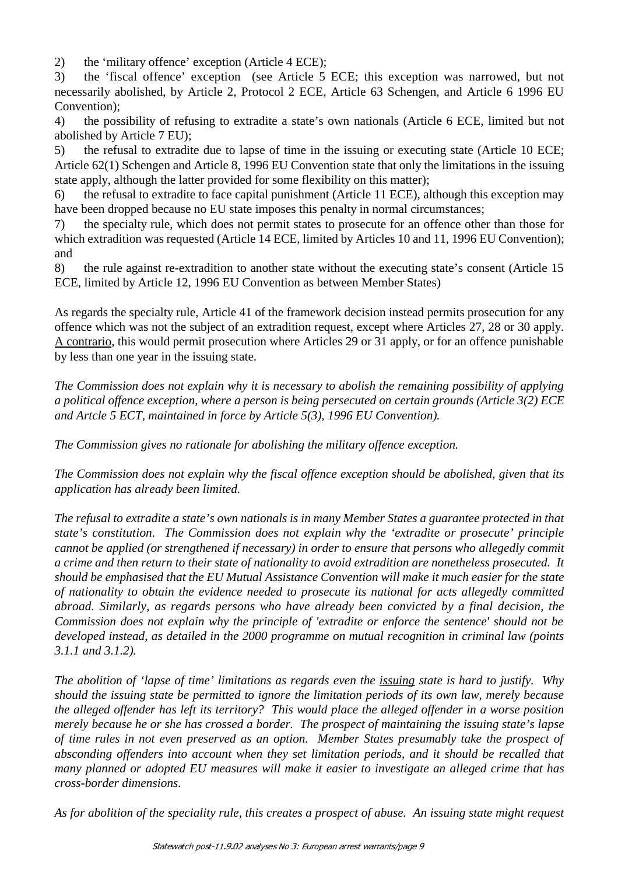2) the 'military offence' exception (Article 4 ECE);

3) the 'fiscal offence' exception (see Article 5 ECE; this exception was narrowed, but not necessarily abolished, by Article 2, Protocol 2 ECE, Article 63 Schengen, and Article 6 1996 EU Convention);

4) the possibility of refusing to extradite a state's own nationals (Article 6 ECE, limited but not abolished by Article 7 EU);

5) the refusal to extradite due to lapse of time in the issuing or executing state (Article 10 ECE; Article 62(1) Schengen and Article 8, 1996 EU Convention state that only the limitations in the issuing state apply, although the latter provided for some flexibility on this matter);

6) the refusal to extradite to face capital punishment (Article 11 ECE), although this exception may have been dropped because no EU state imposes this penalty in normal circumstances;

7) the specialty rule, which does not permit states to prosecute for an offence other than those for which extradition was requested (Article 14 ECE, limited by Articles 10 and 11, 1996 EU Convention); and

8) the rule against re-extradition to another state without the executing state's consent (Article 15 ECE, limited by Article 12, 1996 EU Convention as between Member States)

As regards the specialty rule, Article 41 of the framework decision instead permits prosecution for any offence which was not the subject of an extradition request, except where Articles 27, 28 or 30 apply. A contrario, this would permit prosecution where Articles 29 or 31 apply, or for an offence punishable by less than one year in the issuing state.

*The Commission does not explain why it is necessary to abolish the remaining possibility of applying a political offence exception, where a person is being persecuted on certain grounds (Article 3(2) ECE and Artcle 5 ECT, maintained in force by Article 5(3), 1996 EU Convention).*

*The Commission gives no rationale for abolishing the military offence exception.*

*The Commission does not explain why the fiscal offence exception should be abolished, given that its application has already been limited.*

*The refusal to extradite a state's own nationals is in many Member States a guarantee protected in that state's constitution. The Commission does not explain why the 'extradite or prosecute' principle cannot be applied (or strengthened if necessary) in order to ensure that persons who allegedly commit a crime and then return to their state of nationality to avoid extradition are nonetheless prosecuted. It should be emphasised that the EU Mutual Assistance Convention will make it much easier for the state of nationality to obtain the evidence needed to prosecute its national for acts allegedly committed abroad. Similarly, as regards persons who have already been convicted by a final decision, the Commission does not explain why the principle of 'extradite or enforce the sentence' should not be developed instead, as detailed in the 2000 programme on mutual recognition in criminal law (points 3.1.1 and 3.1.2).*

*The abolition of 'lapse of time' limitations as regards even the issuing state is hard to justify. Why should the issuing state be permitted to ignore the limitation periods of its own law, merely because the alleged offender has left its territory? This would place the alleged offender in a worse position merely because he or she has crossed a border. The prospect of maintaining the issuing state's lapse of time rules in not even preserved as an option. Member States presumably take the prospect of absconding offenders into account when they set limitation periods, and it should be recalled that many planned or adopted EU measures will make it easier to investigate an alleged crime that has cross-border dimensions.*

*As for abolition of the speciality rule, this creates a prospect of abuse. An issuing state might request*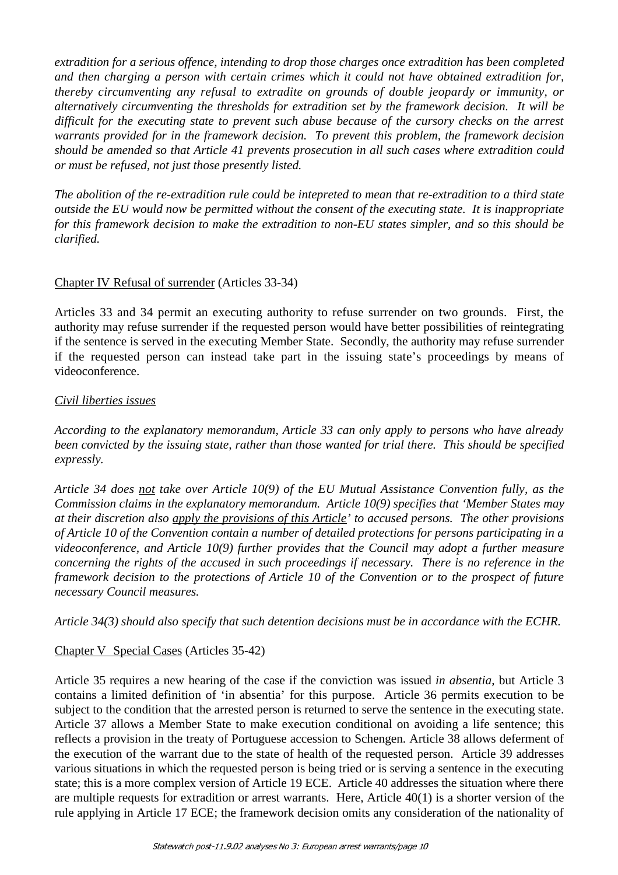*extradition for a serious offence, intending to drop those charges once extradition has been completed and then charging a person with certain crimes which it could not have obtained extradition for, thereby circumventing any refusal to extradite on grounds of double jeopardy or immunity, or alternatively circumventing the thresholds for extradition set by the framework decision. It will be difficult for the executing state to prevent such abuse because of the cursory checks on the arrest warrants provided for in the framework decision. To prevent this problem, the framework decision should be amended so that Article 41 prevents prosecution in all such cases where extradition could or must be refused, not just those presently listed.*

*The abolition of the re-extradition rule could be intepreted to mean that re-extradition to a third state outside the EU would now be permitted without the consent of the executing state. It is inappropriate for this framework decision to make the extradition to non-EU states simpler, and so this should be clarified.*

## Chapter IV Refusal of surrender (Articles 33-34)

Articles 33 and 34 permit an executing authority to refuse surrender on two grounds. First, the authority may refuse surrender if the requested person would have better possibilities of reintegrating if the sentence is served in the executing Member State. Secondly, the authority may refuse surrender if the requested person can instead take part in the issuing state's proceedings by means of videoconference.

#### *Civil liberties issues*

*According to the explanatory memorandum, Article 33 can only apply to persons who have already been convicted by the issuing state, rather than those wanted for trial there. This should be specified expressly.*

*Article 34 does not take over Article 10(9) of the EU Mutual Assistance Convention fully, as the Commission claims in the explanatory memorandum. Article 10(9) specifies that 'Member States may at their discretion also apply the provisions of this Article' to accused persons. The other provisions of Article 10 of the Convention contain a number of detailed protections for persons participating in a videoconference, and Article 10(9) further provides that the Council may adopt a further measure concerning the rights of the accused in such proceedings if necessary. There is no reference in the framework decision to the protections of Article 10 of the Convention or to the prospect of future necessary Council measures.*

*Article 34(3) should also specify that such detention decisions must be in accordance with the ECHR.*

## Chapter V Special Cases (Articles 35-42)

Article 35 requires a new hearing of the case if the conviction was issued *in absentia*, but Article 3 contains a limited definition of 'in absentia' for this purpose. Article 36 permits execution to be subject to the condition that the arrested person is returned to serve the sentence in the executing state. Article 37 allows a Member State to make execution conditional on avoiding a life sentence; this reflects a provision in the treaty of Portuguese accession to Schengen. Article 38 allows deferment of the execution of the warrant due to the state of health of the requested person. Article 39 addresses various situations in which the requested person is being tried or is serving a sentence in the executing state; this is a more complex version of Article 19 ECE. Article 40 addresses the situation where there are multiple requests for extradition or arrest warrants. Here, Article 40(1) is a shorter version of the rule applying in Article 17 ECE; the framework decision omits any consideration of the nationality of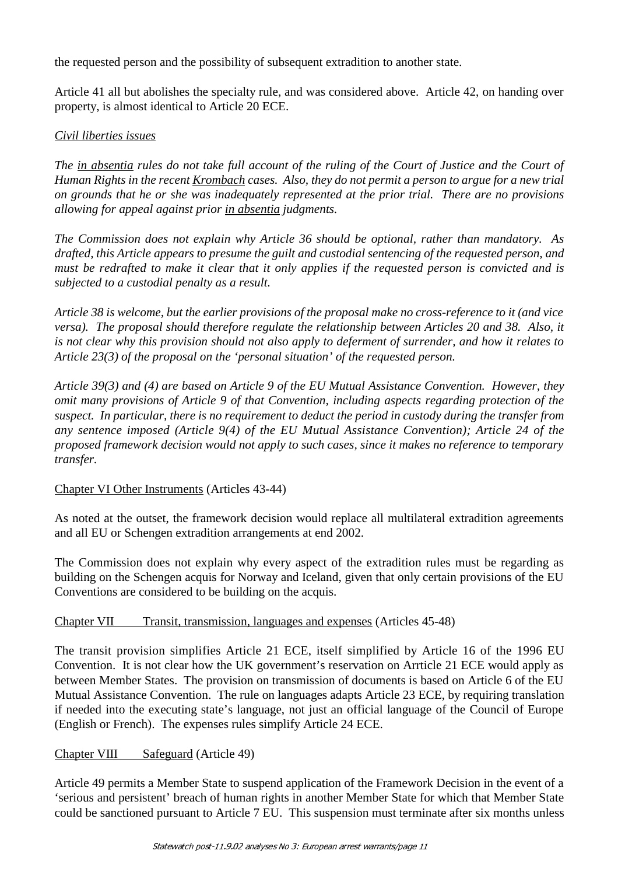the requested person and the possibility of subsequent extradition to another state.

Article 41 all but abolishes the specialty rule, and was considered above. Article 42, on handing over property, is almost identical to Article 20 ECE.

#### *Civil liberties issues*

*The in absentia rules do not take full account of the ruling of the Court of Justice and the Court of Human Rights in the recent Krombach cases. Also, they do not permit a person to argue for a new trial on grounds that he or she was inadequately represented at the prior trial. There are no provisions allowing for appeal against prior in absentia judgments.*

*The Commission does not explain why Article 36 should be optional, rather than mandatory. As drafted, this Article appears to presume the guilt and custodial sentencing of the requested person, and must be redrafted to make it clear that it only applies if the requested person is convicted and is subjected to a custodial penalty as a result.*

*Article 38 is welcome, but the earlier provisions of the proposal make no cross-reference to it (and vice versa). The proposal should therefore regulate the relationship between Articles 20 and 38. Also, it is not clear why this provision should not also apply to deferment of surrender, and how it relates to Article 23(3) of the proposal on the 'personal situation' of the requested person.*

*Article 39(3) and (4) are based on Article 9 of the EU Mutual Assistance Convention. However, they omit many provisions of Article 9 of that Convention, including aspects regarding protection of the suspect. In particular, there is no requirement to deduct the period in custody during the transfer from any sentence imposed (Article 9(4) of the EU Mutual Assistance Convention); Article 24 of the proposed framework decision would not apply to such cases, since it makes no reference to temporary transfer.*

#### Chapter VI Other Instruments (Articles 43-44)

As noted at the outset, the framework decision would replace all multilateral extradition agreements and all EU or Schengen extradition arrangements at end 2002.

The Commission does not explain why every aspect of the extradition rules must be regarding as building on the Schengen acquis for Norway and Iceland, given that only certain provisions of the EU Conventions are considered to be building on the acquis.

#### Chapter VII Transit, transmission, languages and expenses (Articles 45-48)

The transit provision simplifies Article 21 ECE, itself simplified by Article 16 of the 1996 EU Convention. It is not clear how the UK government's reservation on Arrticle 21 ECE would apply as between Member States. The provision on transmission of documents is based on Article 6 of the EU Mutual Assistance Convention. The rule on languages adapts Article 23 ECE, by requiring translation if needed into the executing state's language, not just an official language of the Council of Europe (English or French). The expenses rules simplify Article 24 ECE.

## Chapter VIII Safeguard (Article 49)

Article 49 permits a Member State to suspend application of the Framework Decision in the event of a 'serious and persistent' breach of human rights in another Member State for which that Member State could be sanctioned pursuant to Article 7 EU. This suspension must terminate after six months unless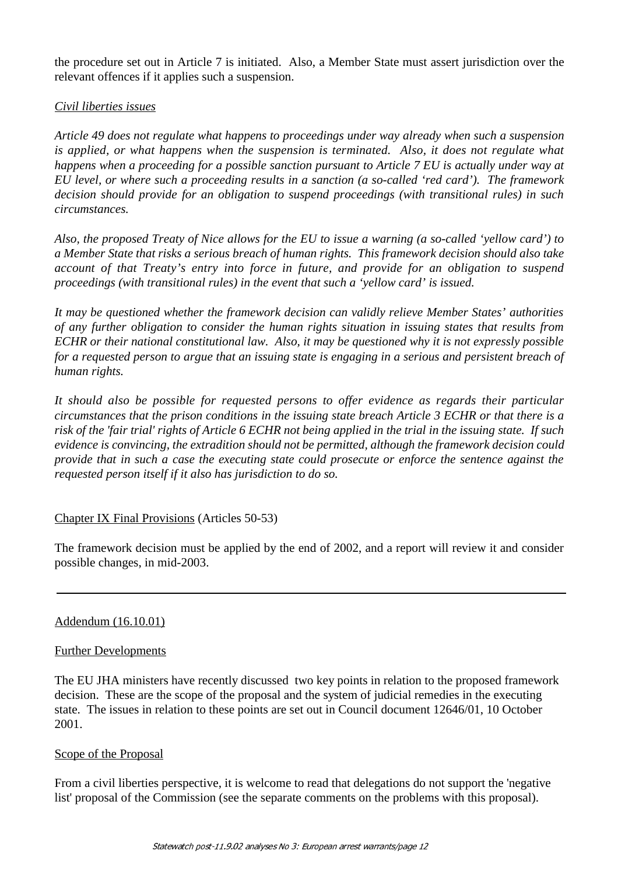the procedure set out in Article 7 is initiated. Also, a Member State must assert jurisdiction over the relevant offences if it applies such a suspension.

### *Civil liberties issues*

*Article 49 does not regulate what happens to proceedings under way already when such a suspension is applied, or what happens when the suspension is terminated. Also, it does not regulate what happens when a proceeding for a possible sanction pursuant to Article 7 EU is actually under way at EU level, or where such a proceeding results in a sanction (a so-called 'red card'). The framework decision should provide for an obligation to suspend proceedings (with transitional rules) in such circumstances.*

*Also, the proposed Treaty of Nice allows for the EU to issue a warning (a so-called 'yellow card') to a Member State that risks a serious breach of human rights. This framework decision should also take account of that Treaty's entry into force in future, and provide for an obligation to suspend proceedings (with transitional rules) in the event that such a 'yellow card' is issued.*

*It may be questioned whether the framework decision can validly relieve Member States' authorities of any further obligation to consider the human rights situation in issuing states that results from ECHR or their national constitutional law. Also, it may be questioned why it is not expressly possible for a requested person to argue that an issuing state is engaging in a serious and persistent breach of human rights.*

*It should also be possible for requested persons to offer evidence as regards their particular circumstances that the prison conditions in the issuing state breach Article 3 ECHR or that there is a risk of the 'fair trial' rights of Article 6 ECHR not being applied in the trial in the issuing state. If such evidence is convincing, the extradition should not be permitted, although the framework decision could provide that in such a case the executing state could prosecute or enforce the sentence against the requested person itself if it also has jurisdiction to do so.*

#### Chapter IX Final Provisions (Articles 50-53)

The framework decision must be applied by the end of 2002, and a report will review it and consider possible changes, in mid-2003.

#### Addendum (16.10.01)

#### Further Developments

The EU JHA ministers have recently discussed two key points in relation to the proposed framework decision. These are the scope of the proposal and the system of judicial remedies in the executing state. The issues in relation to these points are set out in Council document 12646/01, 10 October 2001.

#### Scope of the Proposal

From a civil liberties perspective, it is welcome to read that delegations do not support the 'negative list' proposal of the Commission (see the separate comments on the problems with this proposal).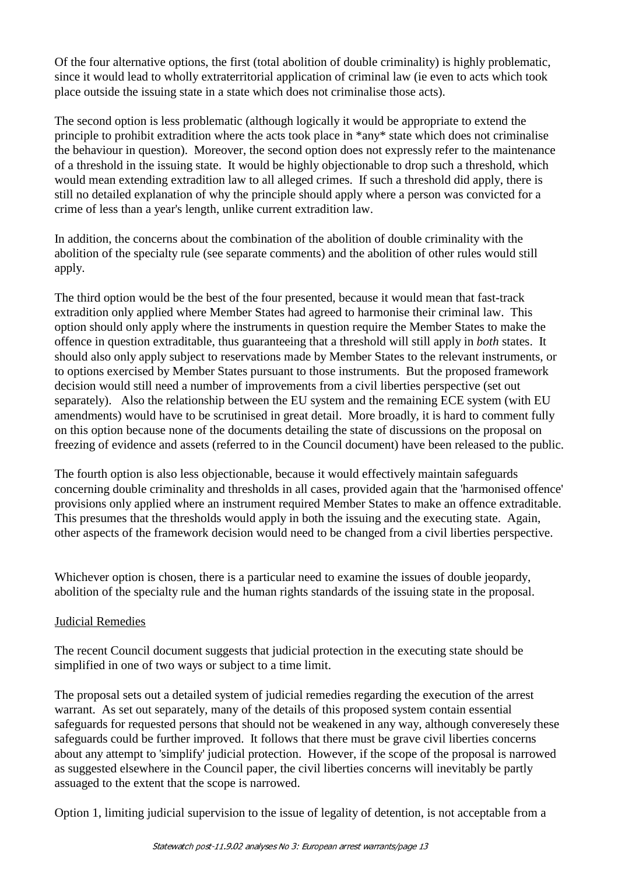Of the four alternative options, the first (total abolition of double criminality) is highly problematic, since it would lead to wholly extraterritorial application of criminal law (ie even to acts which took place outside the issuing state in a state which does not criminalise those acts).

The second option is less problematic (although logically it would be appropriate to extend the principle to prohibit extradition where the acts took place in \*any\* state which does not criminalise the behaviour in question). Moreover, the second option does not expressly refer to the maintenance of a threshold in the issuing state. It would be highly objectionable to drop such a threshold, which would mean extending extradition law to all alleged crimes. If such a threshold did apply, there is still no detailed explanation of why the principle should apply where a person was convicted for a crime of less than a year's length, unlike current extradition law.

In addition, the concerns about the combination of the abolition of double criminality with the abolition of the specialty rule (see separate comments) and the abolition of other rules would still apply.

The third option would be the best of the four presented, because it would mean that fast-track extradition only applied where Member States had agreed to harmonise their criminal law. This option should only apply where the instruments in question require the Member States to make the offence in question extraditable, thus guaranteeing that a threshold will still apply in *both* states. It should also only apply subject to reservations made by Member States to the relevant instruments, or to options exercised by Member States pursuant to those instruments. But the proposed framework decision would still need a number of improvements from a civil liberties perspective (set out separately). Also the relationship between the EU system and the remaining ECE system (with EU amendments) would have to be scrutinised in great detail. More broadly, it is hard to comment fully on this option because none of the documents detailing the state of discussions on the proposal on freezing of evidence and assets (referred to in the Council document) have been released to the public.

The fourth option is also less objectionable, because it would effectively maintain safeguards concerning double criminality and thresholds in all cases, provided again that the 'harmonised offence' provisions only applied where an instrument required Member States to make an offence extraditable. This presumes that the thresholds would apply in both the issuing and the executing state. Again, other aspects of the framework decision would need to be changed from a civil liberties perspective.

Whichever option is chosen, there is a particular need to examine the issues of double jeopardy, abolition of the specialty rule and the human rights standards of the issuing state in the proposal.

## Judicial Remedies

The recent Council document suggests that judicial protection in the executing state should be simplified in one of two ways or subject to a time limit.

The proposal sets out a detailed system of judicial remedies regarding the execution of the arrest warrant. As set out separately, many of the details of this proposed system contain essential safeguards for requested persons that should not be weakened in any way, although converesely these safeguards could be further improved. It follows that there must be grave civil liberties concerns about any attempt to 'simplify' judicial protection. However, if the scope of the proposal is narrowed as suggested elsewhere in the Council paper, the civil liberties concerns will inevitably be partly assuaged to the extent that the scope is narrowed.

Option 1, limiting judicial supervision to the issue of legality of detention, is not acceptable from a